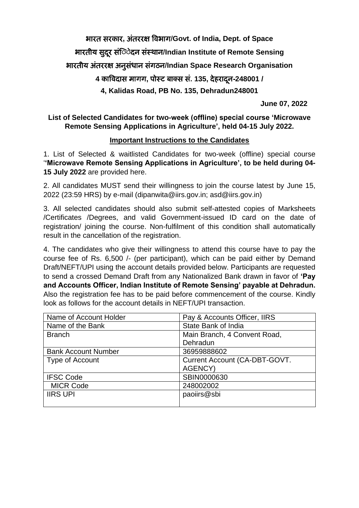भारत सरकार**,** अंतररक्ष विभाग**/Govt. of India, Dept. of Space** भारतीय सदुरू संिेे दन संस्थान**/Indian Institute of Remote Sensing**  भारतीय अंतररक्ष अनुसंधान संगठन**/Indian Space Research Organisation 4** काविदास मागग**,** पोस्ट बाक्स सं**. 135,** द हरादनू **-248001 / 4, Kalidas Road, PB No. 135, Dehradun248001**

**June 07, 2022** 

**List of Selected Candidates for two-week (offline) special course 'Microwave Remote Sensing Applications in Agriculture', held 04-15 July 2022.**

## **Important Instructions to the Candidates**

1. List of Selected & waitlisted Candidates for two-week (offline) special course '**'Microwave Remote Sensing Applications in Agriculture', to be held during 04- 15 July 2022** are provided here.

2. All candidates MUST send their willingness to join the course latest by June 15, 2022 (23:59 HRS) by e-mail (dipanwita@iirs.gov.in; asd@iirs.gov.in)

3. All selected candidates should also submit self-attested copies of Marksheets /Certificates /Degrees, and valid Government-issued ID card on the date of registration/ joining the course. Non-fulfilment of this condition shall automatically result in the cancellation of the registration.

4. The candidates who give their willingness to attend this course have to pay the course fee of Rs. 6,500 /- (per participant), which can be paid either by Demand Draft/NEFT/UPI using the account details provided below. Participants are requested to send a crossed Demand Draft from any Nationalized Bank drawn in favor of **'Pay and Accounts Officer, Indian Institute of Remote Sensing' payable at Dehradun.** Also the registration fee has to be paid before commencement of the course. Kindly look as follows for the account details in NEFT/UPI transaction.

| Name of Account Holder     | Pay & Accounts Officer, IIRS  |  |
|----------------------------|-------------------------------|--|
| Name of the Bank           | State Bank of India           |  |
| <b>Branch</b>              | Main Branch, 4 Convent Road,  |  |
|                            | Dehradun                      |  |
| <b>Bank Account Number</b> | 36959888602                   |  |
| Type of Account            | Current Account (CA-DBT-GOVT. |  |
|                            | AGENCY)                       |  |
| <b>IFSC Code</b>           | SBIN0000630                   |  |
| <b>MICR Code</b>           | 248002002                     |  |
| <b>IIRS UPI</b>            | paoiirs@sbi                   |  |
|                            |                               |  |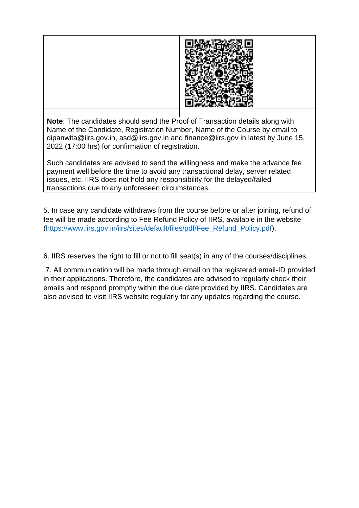

**Note**: The candidates should send the Proof of Transaction details along with Name of the Candidate, Registration Number, Name of the Course by email to dipanwita@iirs.gov.in, asd@iirs.gov.in and finance@iirs.gov in latest by June 15, 2022 (17:00 hrs) for confirmation of registration.

Such candidates are advised to send the willingness and make the advance fee payment well before the time to avoid any transactional delay, server related issues, etc. IIRS does not hold any responsibility for the delayed/failed transactions due to any unforeseen circumstances.

5. In case any candidate withdraws from the course before or after joining, refund of fee will be made according to Fee Refund Policy of IIRS, available in the website [\(https://www.iirs.gov.in/iirs/sites/default/files/pdf/Fee\\_Refund\\_Policy.pdf\)](https://www.iirs.gov.in/iirs/sites/default/files/pdf/Fee_Refund_Policy.pdf).

6. IIRS reserves the right to fill or not to fill seat(s) in any of the courses/disciplines.

7. All communication will be made through email on the registered email-ID provided in their applications. Therefore, the candidates are advised to regularly check their emails and respond promptly within the due date provided by IIRS. Candidates are also advised to visit IIRS website regularly for any updates regarding the course.